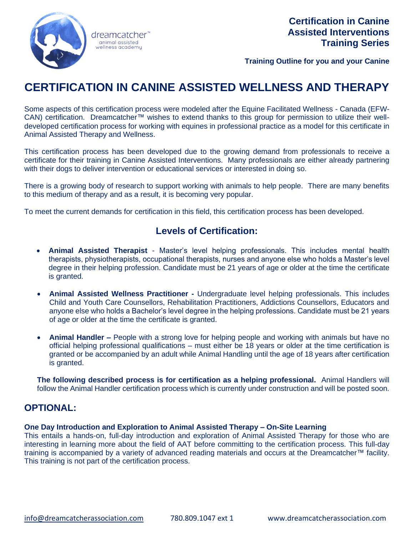

**Training Outline for you and your Canine**

# **CERTIFICATION IN CANINE ASSISTED WELLNESS AND THERAPY**

Some aspects of this certification process were modeled after the Equine Facilitated Wellness - Canada (EFW-CAN) certification. Dreamcatcher™ wishes to extend thanks to this group for permission to utilize their welldeveloped certification process for working with equines in professional practice as a model for this certificate in Animal Assisted Therapy and Wellness.

This certification process has been developed due to the growing demand from professionals to receive a certificate for their training in Canine Assisted Interventions. Many professionals are either already partnering with their dogs to deliver intervention or educational services or interested in doing so.

There is a growing body of research to support working with animals to help people. There are many benefits to this medium of therapy and as a result, it is becoming very popular.

To meet the current demands for certification in this field, this certification process has been developed.

## **Levels of Certification:**

- **Animal Assisted Therapist** Master's level helping professionals. This includes mental health therapists, physiotherapists, occupational therapists, nurses and anyone else who holds a Master's level degree in their helping profession. Candidate must be 21 years of age or older at the time the certificate is granted.
- **Animal Assisted Wellness Practitioner -** Undergraduate level helping professionals. This includes Child and Youth Care Counsellors, Rehabilitation Practitioners, Addictions Counsellors, Educators and anyone else who holds a Bachelor's level degree in the helping professions. Candidate must be 21 years of age or older at the time the certificate is granted.
- **Animal Handler –** People with a strong love for helping people and working with animals but have no official helping professional qualifications – must either be 18 years or older at the time certification is granted or be accompanied by an adult while Animal Handling until the age of 18 years after certification is granted.

**The following described process is for certification as a helping professional.** Animal Handlers will follow the Animal Handler certification process which is currently under construction and will be posted soon.

## **OPTIONAL:**

### **One Day Introduction and Exploration to Animal Assisted Therapy – On-Site Learning**

This entails a hands-on, full-day introduction and exploration of Animal Assisted Therapy for those who are interesting in learning more about the field of AAT before committing to the certification process. This full-day training is accompanied by a variety of advanced reading materials and occurs at the Dreamcatcher™ facility. This training is not part of the certification process.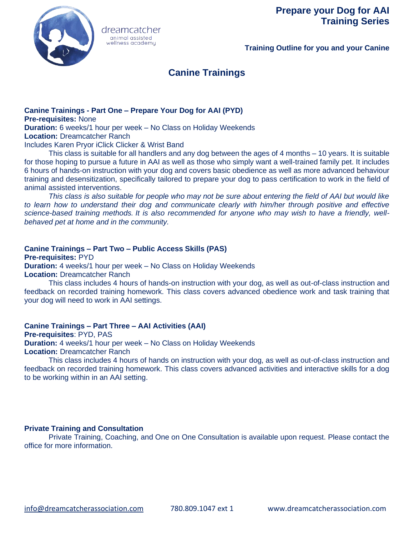

dreamcatcher animal assisted wellness academy

**Training Outline for you and your Canine**

# **Canine Trainings**

# **Canine Trainings - Part One – Prepare Your Dog for AAI (PYD)**

**Pre-requisites:** None

**Duration:** 6 weeks/1 hour per week – No Class on Holiday Weekends **Location:** Dreamcatcher Ranch

Includes Karen Pryor iClick Clicker & Wrist Band

This class is suitable for all handlers and any dog between the ages of 4 months – 10 years. It is suitable for those hoping to pursue a future in AAI as well as those who simply want a well-trained family pet. It includes 6 hours of hands-on instruction with your dog and covers basic obedience as well as more advanced behaviour training and desensitization, specifically tailored to prepare your dog to pass certification to work in the field of animal assisted interventions.

*This class is also suitable for people who may not be sure about entering the field of AAI but would like* to learn how to understand their dog and communicate clearly with him/her through positive and effective *science-based training methods. It is also recommended for anyone who may wish to have a friendly, wellbehaved pet at home and in the community.* 

## **Canine Trainings – Part Two – Public Access Skills (PAS)**

**Pre-requisites:** PYD **Duration:** 4 weeks/1 hour per week – No Class on Holiday Weekends **Location:** Dreamcatcher Ranch

This class includes 4 hours of hands-on instruction with your dog, as well as out-of-class instruction and feedback on recorded training homework. This class covers advanced obedience work and task training that your dog will need to work in AAI settings.

## **Canine Trainings – Part Three – AAI Activities (AAI)**

**Pre-requisites**: PYD, PAS **Duration:** 4 weeks/1 hour per week – No Class on Holiday Weekends **Location:** Dreamcatcher Ranch

This class includes 4 hours of hands on instruction with your dog, as well as out-of-class instruction and feedback on recorded training homework. This class covers advanced activities and interactive skills for a dog to be working within in an AAI setting.

### **Private Training and Consultation**

Private Training, Coaching, and One on One Consultation is available upon request. Please contact the office for more information.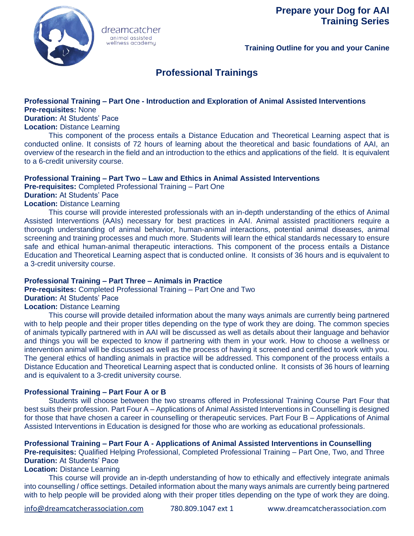

**Training Outline for you and your Canine**

# **Professional Trainings**

#### **Professional Training – Part One - Introduction and Exploration of Animal Assisted Interventions Pre-requisites:** None

**Duration:** At Students' Pace

**Location:** Distance Learning

This component of the process entails a Distance Education and Theoretical Learning aspect that is conducted online. It consists of 72 hours of learning about the theoretical and basic foundations of AAI, an overview of the research in the field and an introduction to the ethics and applications of the field. It is equivalent to a 6-credit university course.

### **Professional Training – Part Two – Law and Ethics in Animal Assisted Interventions**

**Pre-requisites:** Completed Professional Training – Part One

dreamcatcher animal assisted wellness academy

**Duration:** At Students' Pace

**Location:** Distance Learning

This course will provide interested professionals with an in-depth understanding of the ethics of Animal Assisted Interventions (AAIs) necessary for best practices in AAI. Animal assisted practitioners require a thorough understanding of animal behavior, human-animal interactions, potential animal diseases, animal screening and training processes and much more. Students will learn the ethical standards necessary to ensure safe and ethical human-animal therapeutic interactions. This component of the process entails a Distance Education and Theoretical Learning aspect that is conducted online. It consists of 36 hours and is equivalent to a 3-credit university course.

### **Professional Training – Part Three – Animals in Practice**

**Pre-requisites:** Completed Professional Training – Part One and Two **Duration:** At Students' Pace **Location:** Distance Learning

This course will provide detailed information about the many ways animals are currently being partnered with to help people and their proper titles depending on the type of work they are doing. The common species of animals typically partnered with in AAI will be discussed as well as details about their language and behavior and things you will be expected to know if partnering with them in your work. How to choose a wellness or intervention animal will be discussed as well as the process of having it screened and certified to work with you. The general ethics of handling animals in practice will be addressed. This component of the process entails a Distance Education and Theoretical Learning aspect that is conducted online. It consists of 36 hours of learning and is equivalent to a 3-credit university course.

### **Professional Training – Part Four A or B**

Students will choose between the two streams offered in Professional Training Course Part Four that best suits their profession. Part Four A – Applications of Animal Assisted Interventions in Counselling is designed for those that have chosen a career in counselling or therapeutic services. Part Four B – Applications of Animal Assisted Interventions in Education is designed for those who are working as educational professionals.

**Professional Training – Part Four A - Applications of Animal Assisted Interventions in Counselling Pre-requisites:** Qualified Helping Professional, Completed Professional Training – Part One, Two, and Three **Duration:** At Students' Pace

#### **Location:** Distance Learning

This course will provide an in-depth understanding of how to ethically and effectively integrate animals into counselling / office settings. Detailed information about the many ways animals are currently being partnered with to help people will be provided along with their proper titles depending on the type of work they are doing.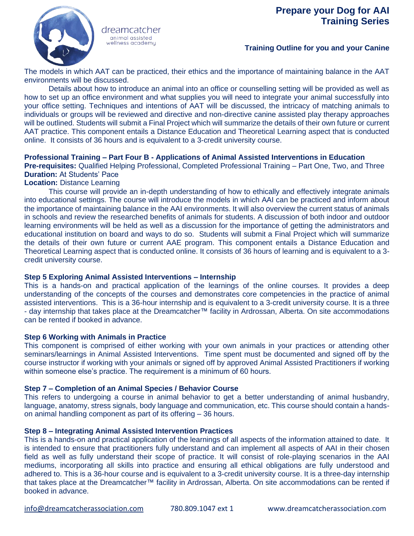

dreamcatcher animal assisted wellness academy

## **Training Outline for you and your Canine**

The models in which AAT can be practiced, their ethics and the importance of maintaining balance in the AAT environments will be discussed.

Details about how to introduce an animal into an office or counselling setting will be provided as well as how to set up an office environment and what supplies you will need to integrate your animal successfully into your office setting. Techniques and intentions of AAT will be discussed, the intricacy of matching animals to individuals or groups will be reviewed and directive and non-directive canine assisted play therapy approaches will be outlined. Students will submit a Final Project which will summarize the details of their own future or current AAT practice. This component entails a Distance Education and Theoretical Learning aspect that is conducted online. It consists of 36 hours and is equivalent to a 3-credit university course.

#### **Professional Training – Part Four B - Applications of Animal Assisted Interventions in Education**

**Pre-requisites:** Qualified Helping Professional, Completed Professional Training – Part One, Two, and Three **Duration:** At Students' Pace

#### **Location:** Distance Learning

This course will provide an in-depth understanding of how to ethically and effectively integrate animals into educational settings. The course will introduce the models in which AAI can be practiced and inform about the importance of maintaining balance in the AAI environments. It will also overview the current status of animals in schools and review the researched benefits of animals for students. A discussion of both indoor and outdoor learning environments will be held as well as a discussion for the importance of getting the administrators and educational institution on board and ways to do so. Students will submit a Final Project which will summarize the details of their own future or current AAE program. This component entails a Distance Education and Theoretical Learning aspect that is conducted online. It consists of 36 hours of learning and is equivalent to a 3 credit university course.

### **Step 5 Exploring Animal Assisted Interventions – Internship**

This is a hands-on and practical application of the learnings of the online courses. It provides a deep understanding of the concepts of the courses and demonstrates core competencies in the practice of animal assisted interventions. This is a 36-hour internship and is equivalent to a 3-credit university course. It is a three - day internship that takes place at the Dreamcatcher™ facility in Ardrossan, Alberta. On site accommodations can be rented if booked in advance.

### **Step 6 Working with Animals in Practice**

This component is comprised of either working with your own animals in your practices or attending other seminars/learnings in Animal Assisted Interventions. Time spent must be documented and signed off by the course instructor if working with your animals or signed off by approved Animal Assisted Practitioners if working within someone else's practice. The requirement is a minimum of 60 hours.

### **Step 7 – Completion of an Animal Species / Behavior Course**

This refers to undergoing a course in animal behavior to get a better understanding of animal husbandry, language, anatomy, stress signals, body language and communication, etc. This course should contain a handson animal handling component as part of its offering – 36 hours.

#### **Step 8 – Integrating Animal Assisted Intervention Practices**

This is a hands-on and practical application of the learnings of all aspects of the information attained to date. It is intended to ensure that practitioners fully understand and can implement all aspects of AAI in their chosen field as well as fully understand their scope of practice. It will consist of role-playing scenarios in the AAI mediums, incorporating all skills into practice and ensuring all ethical obligations are fully understood and adhered to. This is a 36-hour course and is equivalent to a 3-credit university course. It is a three-day internship that takes place at the Dreamcatcher™ facility in Ardrossan, Alberta. On site accommodations can be rented if booked in advance.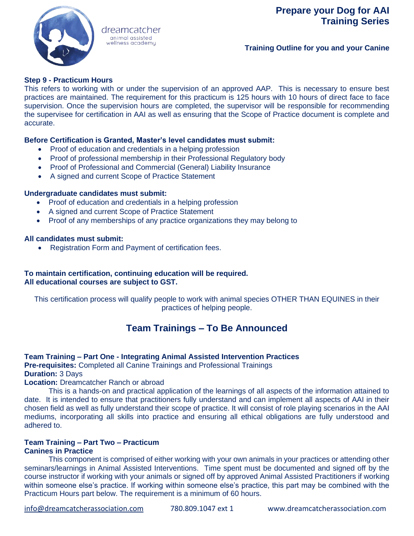

#### dreamcatcher animal assisted wellness academy

**Training Outline for you and your Canine**

## **Step 9 - Practicum Hours**

This refers to working with or under the supervision of an approved AAP. This is necessary to ensure best practices are maintained. The requirement for this practicum is 125 hours with 10 hours of direct face to face supervision. Once the supervision hours are completed, the supervisor will be responsible for recommending the supervisee for certification in AAI as well as ensuring that the Scope of Practice document is complete and accurate.

### **Before Certification is Granted, Master's level candidates must submit:**

- Proof of education and credentials in a helping profession
- Proof of professional membership in their Professional Regulatory body
- Proof of Professional and Commercial (General) Liability Insurance
- A signed and current Scope of Practice Statement

### **Undergraduate candidates must submit:**

- Proof of education and credentials in a helping profession
- A signed and current Scope of Practice Statement
- Proof of any memberships of any practice organizations they may belong to

#### **All candidates must submit:**

• Registration Form and Payment of certification fees.

### **To maintain certification, continuing education will be required. All educational courses are subject to GST.**

This certification process will qualify people to work with animal species OTHER THAN EQUINES in their practices of helping people.

# **Team Trainings – To Be Announced**

### **Team Training – Part One - Integrating Animal Assisted Intervention Practices**

**Pre-requisites:** Completed all Canine Trainings and Professional Trainings **Duration:** 3 Days

### **Location:** Dreamcatcher Ranch or abroad

This is a hands-on and practical application of the learnings of all aspects of the information attained to date. It is intended to ensure that practitioners fully understand and can implement all aspects of AAI in their chosen field as well as fully understand their scope of practice. It will consist of role playing scenarios in the AAI mediums, incorporating all skills into practice and ensuring all ethical obligations are fully understood and adhered to.

#### **Team Training – Part Two – Practicum Canines in Practice**

This component is comprised of either working with your own animals in your practices or attending other seminars/learnings in Animal Assisted Interventions. Time spent must be documented and signed off by the course instructor if working with your animals or signed off by approved Animal Assisted Practitioners if working within someone else's practice. If working within someone else's practice, this part may be combined with the Practicum Hours part below. The requirement is a minimum of 60 hours.